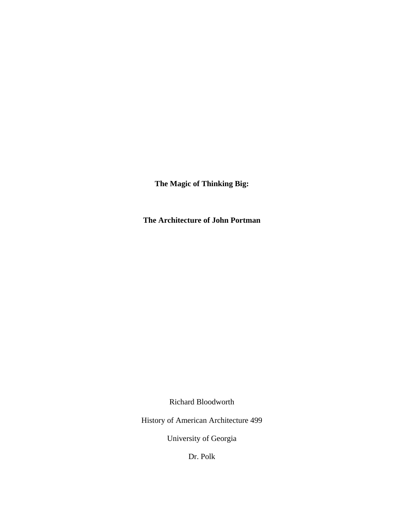**The Magic of Thinking Big:** 

**The Architecture of John Portman** 

Richard Bloodworth

History of American Architecture 499

University of Georgia

Dr. Polk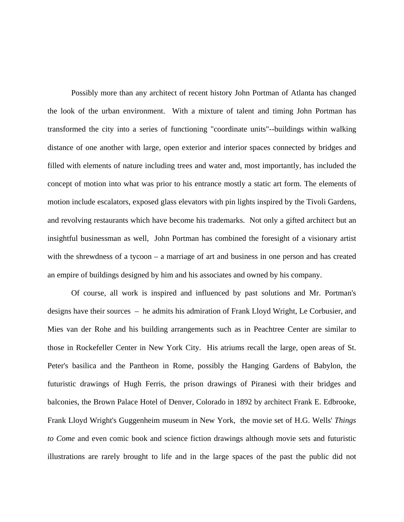Possibly more than any architect of recent history John Portman of Atlanta has changed the look of the urban environment. With a mixture of talent and timing John Portman has transformed the city into a series of functioning "coordinate units"--buildings within walking distance of one another with large, open exterior and interior spaces connected by bridges and filled with elements of nature including trees and water and, most importantly, has included the concept of motion into what was prior to his entrance mostly a static art form. The elements of motion include escalators, exposed glass elevators with pin lights inspired by the Tivoli Gardens, and revolving restaurants which have become his trademarks. Not only a gifted architect but an insightful businessman as well, John Portman has combined the foresight of a visionary artist with the shrewdness of a tycoon – a marriage of art and business in one person and has created an empire of buildings designed by him and his associates and owned by his company.

 Of course, all work is inspired and influenced by past solutions and Mr. Portman's designs have their sources – he admits his admiration of Frank Lloyd Wright, Le Corbusier, and Mies van der Rohe and his building arrangements such as in Peachtree Center are similar to those in Rockefeller Center in New York City. His atriums recall the large, open areas of St. Peter's basilica and the Pantheon in Rome, possibly the Hanging Gardens of Babylon, the futuristic drawings of Hugh Ferris, the prison drawings of Piranesi with their bridges and balconies, the Brown Palace Hotel of Denver, Colorado in 1892 by architect Frank E. Edbrooke, Frank Lloyd Wright's Guggenheim museum in New York, the movie set of H.G. Wells' *Things to Come* and even comic book and science fiction drawings although movie sets and futuristic illustrations are rarely brought to life and in the large spaces of the past the public did not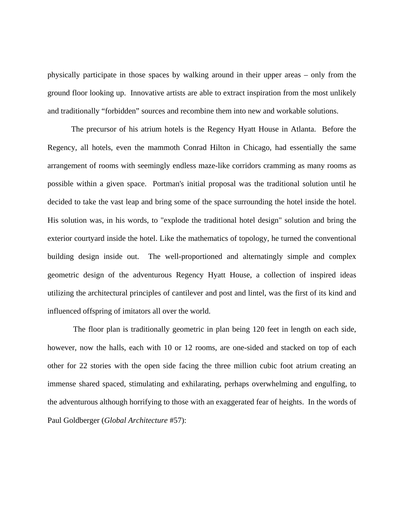physically participate in those spaces by walking around in their upper areas – only from the ground floor looking up. Innovative artists are able to extract inspiration from the most unlikely and traditionally "forbidden" sources and recombine them into new and workable solutions.

 The precursor of his atrium hotels is the Regency Hyatt House in Atlanta. Before the Regency, all hotels, even the mammoth Conrad Hilton in Chicago, had essentially the same arrangement of rooms with seemingly endless maze-like corridors cramming as many rooms as possible within a given space. Portman's initial proposal was the traditional solution until he decided to take the vast leap and bring some of the space surrounding the hotel inside the hotel. His solution was, in his words, to "explode the traditional hotel design" solution and bring the exterior courtyard inside the hotel. Like the mathematics of topology, he turned the conventional building design inside out. The well-proportioned and alternatingly simple and complex geometric design of the adventurous Regency Hyatt House, a collection of inspired ideas utilizing the architectural principles of cantilever and post and lintel, was the first of its kind and influenced offspring of imitators all over the world.

 The floor plan is traditionally geometric in plan being 120 feet in length on each side, however, now the halls, each with 10 or 12 rooms, are one-sided and stacked on top of each other for 22 stories with the open side facing the three million cubic foot atrium creating an immense shared spaced, stimulating and exhilarating, perhaps overwhelming and engulfing, to the adventurous although horrifying to those with an exaggerated fear of heights. In the words of Paul Goldberger (*Global Architecture* #57):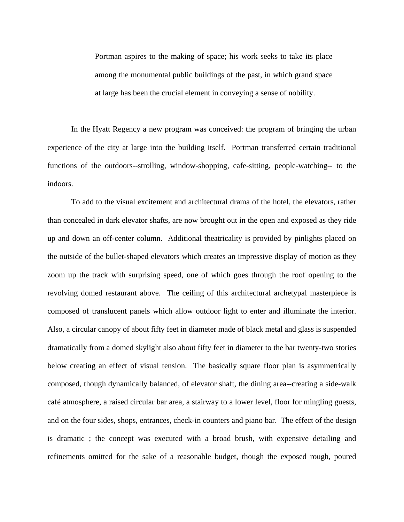Portman aspires to the making of space; his work seeks to take its place among the monumental public buildings of the past, in which grand space at large has been the crucial element in conveying a sense of nobility.

 In the Hyatt Regency a new program was conceived: the program of bringing the urban experience of the city at large into the building itself. Portman transferred certain traditional functions of the outdoors--strolling, window-shopping, cafe-sitting, people-watching-- to the indoors.

 To add to the visual excitement and architectural drama of the hotel, the elevators, rather than concealed in dark elevator shafts, are now brought out in the open and exposed as they ride up and down an off-center column. Additional theatricality is provided by pinlights placed on the outside of the bullet-shaped elevators which creates an impressive display of motion as they zoom up the track with surprising speed, one of which goes through the roof opening to the revolving domed restaurant above. The ceiling of this architectural archetypal masterpiece is composed of translucent panels which allow outdoor light to enter and illuminate the interior. Also, a circular canopy of about fifty feet in diameter made of black metal and glass is suspended dramatically from a domed skylight also about fifty feet in diameter to the bar twenty-two stories below creating an effect of visual tension. The basically square floor plan is asymmetrically composed, though dynamically balanced, of elevator shaft, the dining area--creating a side-walk café atmosphere, a raised circular bar area, a stairway to a lower level, floor for mingling guests, and on the four sides, shops, entrances, check-in counters and piano bar. The effect of the design is dramatic ; the concept was executed with a broad brush, with expensive detailing and refinements omitted for the sake of a reasonable budget, though the exposed rough, poured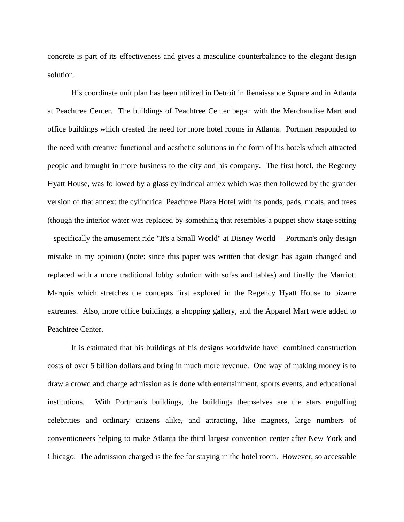concrete is part of its effectiveness and gives a masculine counterbalance to the elegant design solution.

 His coordinate unit plan has been utilized in Detroit in Renaissance Square and in Atlanta at Peachtree Center. The buildings of Peachtree Center began with the Merchandise Mart and office buildings which created the need for more hotel rooms in Atlanta. Portman responded to the need with creative functional and aesthetic solutions in the form of his hotels which attracted people and brought in more business to the city and his company. The first hotel, the Regency Hyatt House, was followed by a glass cylindrical annex which was then followed by the grander version of that annex: the cylindrical Peachtree Plaza Hotel with its ponds, pads, moats, and trees (though the interior water was replaced by something that resembles a puppet show stage setting – specifically the amusement ride "It's a Small World" at Disney World – Portman's only design mistake in my opinion) (note: since this paper was written that design has again changed and replaced with a more traditional lobby solution with sofas and tables) and finally the Marriott Marquis which stretches the concepts first explored in the Regency Hyatt House to bizarre extremes. Also, more office buildings, a shopping gallery, and the Apparel Mart were added to Peachtree Center.

 It is estimated that his buildings of his designs worldwide have combined construction costs of over 5 billion dollars and bring in much more revenue. One way of making money is to draw a crowd and charge admission as is done with entertainment, sports events, and educational institutions. With Portman's buildings, the buildings themselves are the stars engulfing celebrities and ordinary citizens alike, and attracting, like magnets, large numbers of conventioneers helping to make Atlanta the third largest convention center after New York and Chicago. The admission charged is the fee for staying in the hotel room. However, so accessible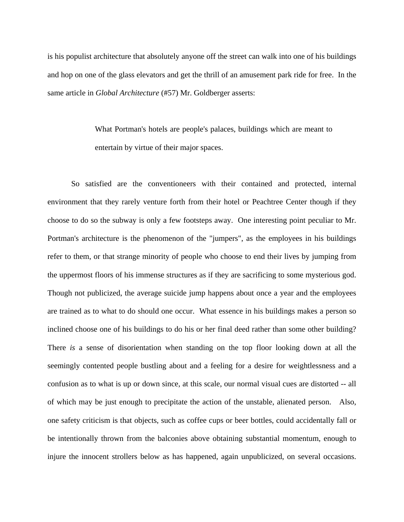is his populist architecture that absolutely anyone off the street can walk into one of his buildings and hop on one of the glass elevators and get the thrill of an amusement park ride for free. In the same article in *Global Architecture* (#57) Mr. Goldberger asserts:

> What Portman's hotels are people's palaces, buildings which are meant to entertain by virtue of their major spaces.

 So satisfied are the conventioneers with their contained and protected, internal environment that they rarely venture forth from their hotel or Peachtree Center though if they choose to do so the subway is only a few footsteps away. One interesting point peculiar to Mr. Portman's architecture is the phenomenon of the "jumpers", as the employees in his buildings refer to them, or that strange minority of people who choose to end their lives by jumping from the uppermost floors of his immense structures as if they are sacrificing to some mysterious god. Though not publicized, the average suicide jump happens about once a year and the employees are trained as to what to do should one occur. What essence in his buildings makes a person so inclined choose one of his buildings to do his or her final deed rather than some other building? There *is* a sense of disorientation when standing on the top floor looking down at all the seemingly contented people bustling about and a feeling for a desire for weightlessness and a confusion as to what is up or down since, at this scale, our normal visual cues are distorted -- all of which may be just enough to precipitate the action of the unstable, alienated person. Also, one safety criticism is that objects, such as coffee cups or beer bottles, could accidentally fall or be intentionally thrown from the balconies above obtaining substantial momentum, enough to injure the innocent strollers below as has happened, again unpublicized, on several occasions.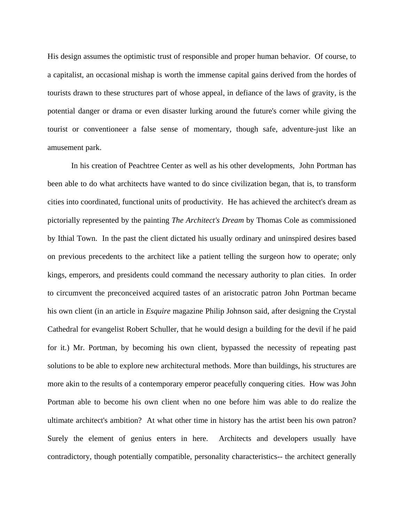His design assumes the optimistic trust of responsible and proper human behavior. Of course, to a capitalist, an occasional mishap is worth the immense capital gains derived from the hordes of tourists drawn to these structures part of whose appeal, in defiance of the laws of gravity, is the potential danger or drama or even disaster lurking around the future's corner while giving the tourist or conventioneer a false sense of momentary, though safe, adventure-just like an amusement park.

 In his creation of Peachtree Center as well as his other developments, John Portman has been able to do what architects have wanted to do since civilization began, that is, to transform cities into coordinated, functional units of productivity. He has achieved the architect's dream as pictorially represented by the painting *The Architect's Dream* by Thomas Cole as commissioned by Ithial Town. In the past the client dictated his usually ordinary and uninspired desires based on previous precedents to the architect like a patient telling the surgeon how to operate; only kings, emperors, and presidents could command the necessary authority to plan cities. In order to circumvent the preconceived acquired tastes of an aristocratic patron John Portman became his own client (in an article in *Esquire* magazine Philip Johnson said, after designing the Crystal Cathedral for evangelist Robert Schuller, that he would design a building for the devil if he paid for it.) Mr. Portman, by becoming his own client, bypassed the necessity of repeating past solutions to be able to explore new architectural methods. More than buildings, his structures are more akin to the results of a contemporary emperor peacefully conquering cities. How was John Portman able to become his own client when no one before him was able to do realize the ultimate architect's ambition? At what other time in history has the artist been his own patron? Surely the element of genius enters in here. Architects and developers usually have contradictory, though potentially compatible, personality characteristics-- the architect generally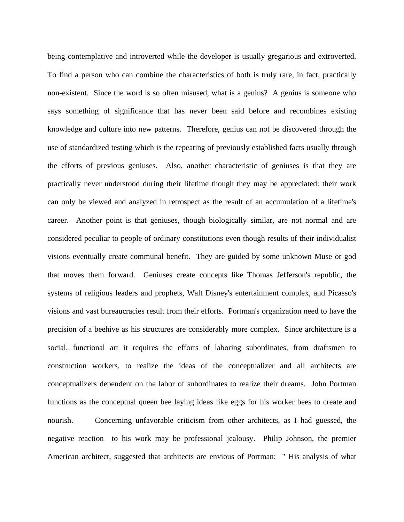being contemplative and introverted while the developer is usually gregarious and extroverted. To find a person who can combine the characteristics of both is truly rare, in fact, practically non-existent. Since the word is so often misused, what is a genius? A genius is someone who says something of significance that has never been said before and recombines existing knowledge and culture into new patterns. Therefore, genius can not be discovered through the use of standardized testing which is the repeating of previously established facts usually through the efforts of previous geniuses. Also, another characteristic of geniuses is that they are practically never understood during their lifetime though they may be appreciated: their work can only be viewed and analyzed in retrospect as the result of an accumulation of a lifetime's career. Another point is that geniuses, though biologically similar, are not normal and are considered peculiar to people of ordinary constitutions even though results of their individualist visions eventually create communal benefit. They are guided by some unknown Muse or god that moves them forward. Geniuses create concepts like Thomas Jefferson's republic, the systems of religious leaders and prophets, Walt Disney's entertainment complex, and Picasso's visions and vast bureaucracies result from their efforts. Portman's organization need to have the precision of a beehive as his structures are considerably more complex. Since architecture is a social, functional art it requires the efforts of laboring subordinates, from draftsmen to construction workers, to realize the ideas of the conceptualizer and all architects are conceptualizers dependent on the labor of subordinates to realize their dreams. John Portman functions as the conceptual queen bee laying ideas like eggs for his worker bees to create and nourish. Concerning unfavorable criticism from other architects, as I had guessed, the negative reaction to his work may be professional jealousy. Philip Johnson, the premier American architect, suggested that architects are envious of Portman: " His analysis of what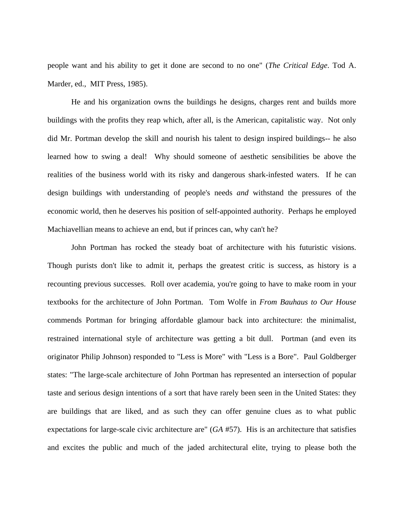people want and his ability to get it done are second to no one" (*The Critical Edge*. Tod A. Marder, ed., MIT Press, 1985).

 He and his organization owns the buildings he designs, charges rent and builds more buildings with the profits they reap which, after all, is the American, capitalistic way. Not only did Mr. Portman develop the skill and nourish his talent to design inspired buildings-- he also learned how to swing a deal! Why should someone of aesthetic sensibilities be above the realities of the business world with its risky and dangerous shark-infested waters. If he can design buildings with understanding of people's needs *and* withstand the pressures of the economic world, then he deserves his position of self-appointed authority. Perhaps he employed Machiavellian means to achieve an end, but if princes can, why can't he?

 John Portman has rocked the steady boat of architecture with his futuristic visions. Though purists don't like to admit it, perhaps the greatest critic is success, as history is a recounting previous successes. Roll over academia, you're going to have to make room in your textbooks for the architecture of John Portman. Tom Wolfe in *From Bauhaus to Our House*  commends Portman for bringing affordable glamour back into architecture: the minimalist, restrained international style of architecture was getting a bit dull. Portman (and even its originator Philip Johnson) responded to "Less is More" with "Less is a Bore". Paul Goldberger states: "The large-scale architecture of John Portman has represented an intersection of popular taste and serious design intentions of a sort that have rarely been seen in the United States: they are buildings that are liked, and as such they can offer genuine clues as to what public expectations for large-scale civic architecture are" (*GA* #57). His is an architecture that satisfies and excites the public and much of the jaded architectural elite, trying to please both the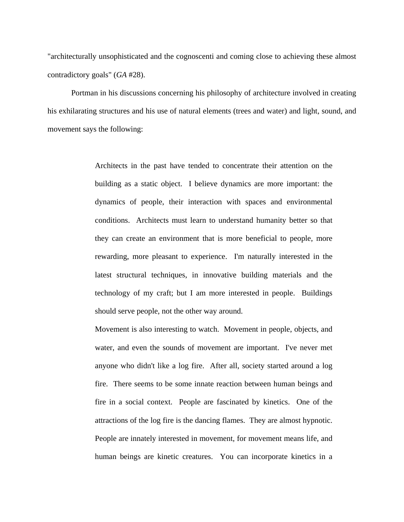"architecturally unsophisticated and the cognoscenti and coming close to achieving these almost contradictory goals" (*GA* #28).

 Portman in his discussions concerning his philosophy of architecture involved in creating his exhilarating structures and his use of natural elements (trees and water) and light, sound, and movement says the following:

> Architects in the past have tended to concentrate their attention on the building as a static object. I believe dynamics are more important: the dynamics of people, their interaction with spaces and environmental conditions. Architects must learn to understand humanity better so that they can create an environment that is more beneficial to people, more rewarding, more pleasant to experience. I'm naturally interested in the latest structural techniques, in innovative building materials and the technology of my craft; but I am more interested in people. Buildings should serve people, not the other way around.

> Movement is also interesting to watch. Movement in people, objects, and water, and even the sounds of movement are important. I've never met anyone who didn't like a log fire. After all, society started around a log fire. There seems to be some innate reaction between human beings and fire in a social context. People are fascinated by kinetics. One of the attractions of the log fire is the dancing flames. They are almost hypnotic. People are innately interested in movement, for movement means life, and human beings are kinetic creatures. You can incorporate kinetics in a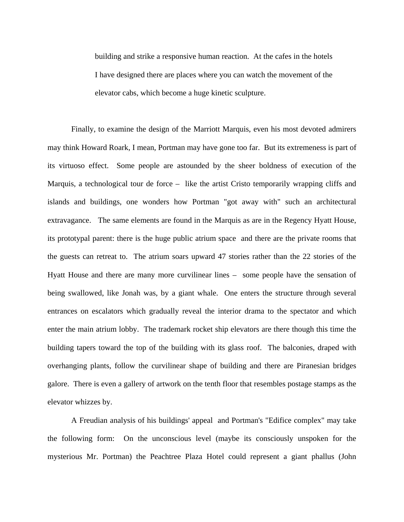building and strike a responsive human reaction. At the cafes in the hotels I have designed there are places where you can watch the movement of the elevator cabs, which become a huge kinetic sculpture.

 Finally, to examine the design of the Marriott Marquis, even his most devoted admirers may think Howard Roark, I mean, Portman may have gone too far. But its extremeness is part of its virtuoso effect. Some people are astounded by the sheer boldness of execution of the Marquis, a technological tour de force – like the artist Cristo temporarily wrapping cliffs and islands and buildings, one wonders how Portman "got away with" such an architectural extravagance. The same elements are found in the Marquis as are in the Regency Hyatt House, its prototypal parent: there is the huge public atrium space and there are the private rooms that the guests can retreat to. The atrium soars upward 47 stories rather than the 22 stories of the Hyatt House and there are many more curvilinear lines – some people have the sensation of being swallowed, like Jonah was, by a giant whale. One enters the structure through several entrances on escalators which gradually reveal the interior drama to the spectator and which enter the main atrium lobby. The trademark rocket ship elevators are there though this time the building tapers toward the top of the building with its glass roof. The balconies, draped with overhanging plants, follow the curvilinear shape of building and there are Piranesian bridges galore. There is even a gallery of artwork on the tenth floor that resembles postage stamps as the elevator whizzes by.

 A Freudian analysis of his buildings' appeal and Portman's "Edifice complex" may take the following form: On the unconscious level (maybe its consciously unspoken for the mysterious Mr. Portman) the Peachtree Plaza Hotel could represent a giant phallus (John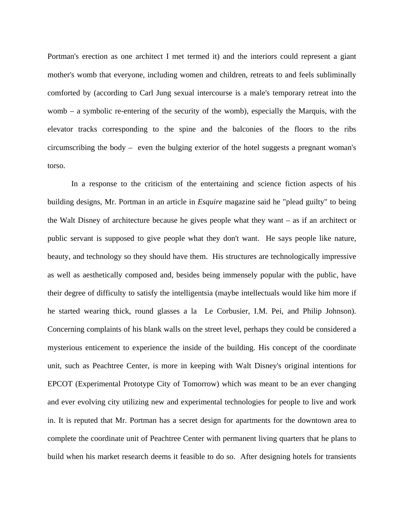Portman's erection as one architect I met termed it) and the interiors could represent a giant mother's womb that everyone, including women and children, retreats to and feels subliminally comforted by (according to Carl Jung sexual intercourse is a male's temporary retreat into the womb – a symbolic re-entering of the security of the womb), especially the Marquis, with the elevator tracks corresponding to the spine and the balconies of the floors to the ribs circumscribing the body – even the bulging exterior of the hotel suggests a pregnant woman's torso.

 In a response to the criticism of the entertaining and science fiction aspects of his building designs, Mr. Portman in an article in *Esquire* magazine said he "plead guilty" to being the Walt Disney of architecture because he gives people what they want – as if an architect or public servant is supposed to give people what they don't want. He says people like nature, beauty, and technology so they should have them. His structures are technologically impressive as well as aesthetically composed and, besides being immensely popular with the public, have their degree of difficulty to satisfy the intelligentsia (maybe intellectuals would like him more if he started wearing thick, round glasses a la Le Corbusier, I.M. Pei, and Philip Johnson). Concerning complaints of his blank walls on the street level, perhaps they could be considered a mysterious enticement to experience the inside of the building. His concept of the coordinate unit, such as Peachtree Center, is more in keeping with Walt Disney's original intentions for EPCOT (Experimental Prototype City of Tomorrow) which was meant to be an ever changing and ever evolving city utilizing new and experimental technologies for people to live and work in. It is reputed that Mr. Portman has a secret design for apartments for the downtown area to complete the coordinate unit of Peachtree Center with permanent living quarters that he plans to build when his market research deems it feasible to do so. After designing hotels for transients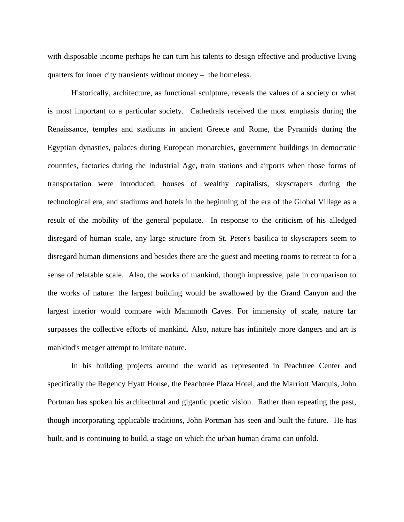with disposable income perhaps he can turn his talents to design effective and productive living quarters for inner city transients without money – the homeless.

 Historically, architecture, as functional sculpture, reveals the values of a society or what is most important to a particular society. Cathedrals received the most emphasis during the Renaissance, temples and stadiums in ancient Greece and Rome, the Pyramids during the Egyptian dynasties, palaces during European monarchies, government buildings in democratic countries, factories during the Industrial Age, train stations and airports when those forms of transportation were introduced, houses of wealthy capitalists, skyscrapers during the technological era, and stadiums and hotels in the beginning of the era of the Global Village as a result of the mobility of the general populace. In response to the criticism of his alledged disregard of human scale, any large structure from St. Peter's basilica to skyscrapers seem to disregard human dimensions and besides there are the guest and meeting rooms to retreat to for a sense of relatable scale. Also, the works of mankind, though impressive, pale in comparison to the works of nature: the largest building would be swallowed by the Grand Canyon and the largest interior would compare with Mammoth Caves. For immensity of scale, nature far surpasses the collective efforts of mankind. Also, nature has infinitely more dangers and art is mankind's meager attempt to imitate nature.

 In his building projects around the world as represented in Peachtree Center and specifically the Regency Hyatt House, the Peachtree Plaza Hotel, and the Marriott Marquis, John Portman has spoken his architectural and gigantic poetic vision. Rather than repeating the past, though incorporating applicable traditions, John Portman has seen and built the future. He has built, and is continuing to build, a stage on which the urban human drama can unfold.